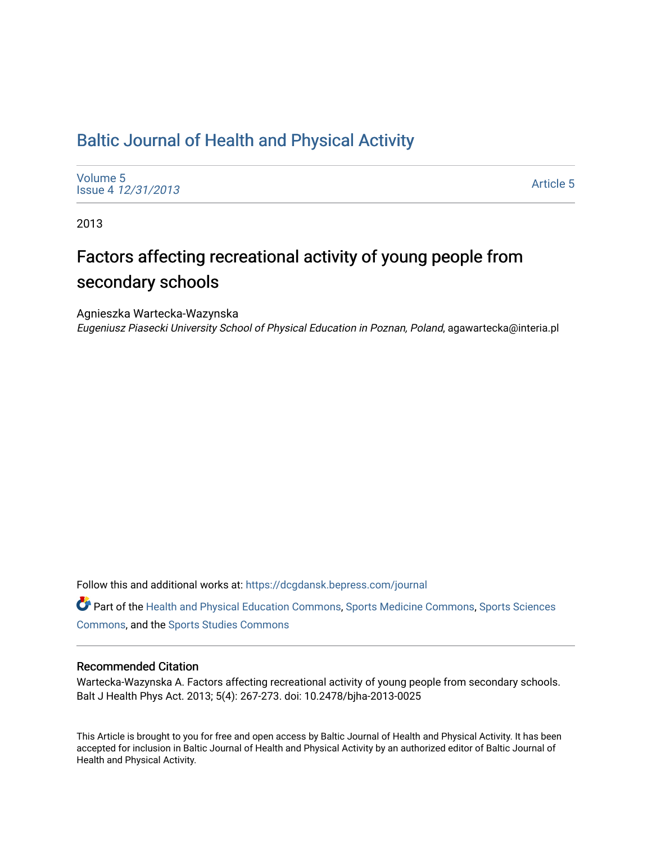# [Baltic Journal of Health and Physical Activity](https://dcgdansk.bepress.com/journal)

[Volume 5](https://dcgdansk.bepress.com/journal/vol5) Issue 4 [12/31/2013](https://dcgdansk.bepress.com/journal/vol5/iss4)

[Article 5](https://dcgdansk.bepress.com/journal/vol5/iss4/5) 

2013

# Factors affecting recreational activity of young people from secondary schools

Agnieszka Wartecka-Wazynska

Eugeniusz Piasecki University School of Physical Education in Poznan, Poland, agawartecka@interia.pl

Follow this and additional works at: [https://dcgdansk.bepress.com/journal](https://dcgdansk.bepress.com/journal?utm_source=dcgdansk.bepress.com%2Fjournal%2Fvol5%2Fiss4%2F5&utm_medium=PDF&utm_campaign=PDFCoverPages)

Part of the [Health and Physical Education Commons](http://network.bepress.com/hgg/discipline/1327?utm_source=dcgdansk.bepress.com%2Fjournal%2Fvol5%2Fiss4%2F5&utm_medium=PDF&utm_campaign=PDFCoverPages), [Sports Medicine Commons,](http://network.bepress.com/hgg/discipline/1331?utm_source=dcgdansk.bepress.com%2Fjournal%2Fvol5%2Fiss4%2F5&utm_medium=PDF&utm_campaign=PDFCoverPages) [Sports Sciences](http://network.bepress.com/hgg/discipline/759?utm_source=dcgdansk.bepress.com%2Fjournal%2Fvol5%2Fiss4%2F5&utm_medium=PDF&utm_campaign=PDFCoverPages) [Commons](http://network.bepress.com/hgg/discipline/759?utm_source=dcgdansk.bepress.com%2Fjournal%2Fvol5%2Fiss4%2F5&utm_medium=PDF&utm_campaign=PDFCoverPages), and the [Sports Studies Commons](http://network.bepress.com/hgg/discipline/1198?utm_source=dcgdansk.bepress.com%2Fjournal%2Fvol5%2Fiss4%2F5&utm_medium=PDF&utm_campaign=PDFCoverPages) 

# Recommended Citation

Wartecka-Wazynska A. Factors affecting recreational activity of young people from secondary schools. Balt J Health Phys Act. 2013; 5(4): 267-273. doi: 10.2478/bjha-2013-0025

This Article is brought to you for free and open access by Baltic Journal of Health and Physical Activity. It has been accepted for inclusion in Baltic Journal of Health and Physical Activity by an authorized editor of Baltic Journal of Health and Physical Activity.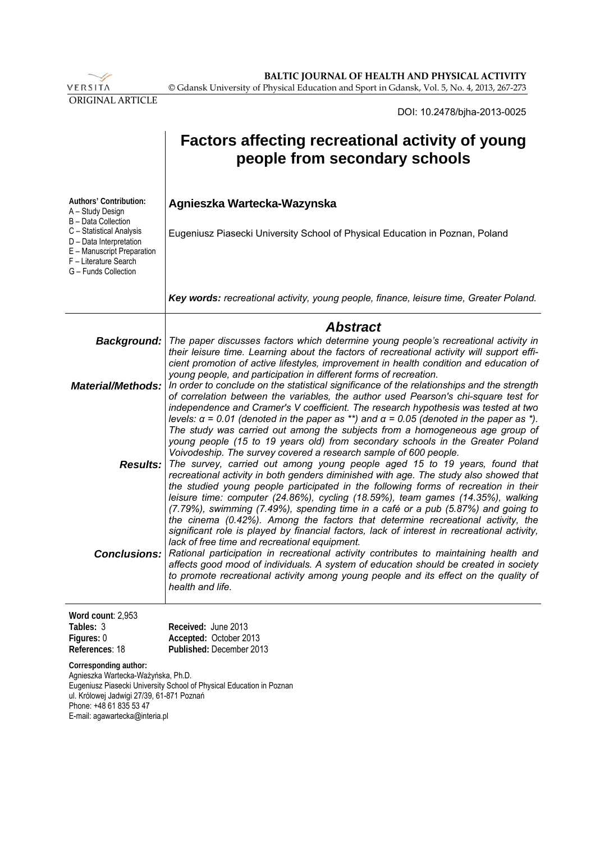

**BALTIC JOURNAL OF HEALTH AND PHYSICAL ACTIVITY** © Gdansk University of Physical Education and Sport in Gdansk, Vol. 5, No. 4, 2013, 267-273

DOI: 10.2478/bjha-2013-0025

|                                                                                                                                                                       | <b>Factors affecting recreational activity of young</b><br>people from secondary schools                                                                                                                                                                                                                                                                                                                                                                                                                                                                                                                                                                                                                |
|-----------------------------------------------------------------------------------------------------------------------------------------------------------------------|---------------------------------------------------------------------------------------------------------------------------------------------------------------------------------------------------------------------------------------------------------------------------------------------------------------------------------------------------------------------------------------------------------------------------------------------------------------------------------------------------------------------------------------------------------------------------------------------------------------------------------------------------------------------------------------------------------|
| Authors' Contribution:<br>A - Study Design<br>B - Data Collection                                                                                                     | Agnieszka Wartecka-Wazynska                                                                                                                                                                                                                                                                                                                                                                                                                                                                                                                                                                                                                                                                             |
| C - Statistical Analysis<br>D - Data Interpretation<br>E - Manuscript Preparation<br>F - Literature Search<br>G - Funds Collection                                    | Eugeniusz Piasecki University School of Physical Education in Poznan, Poland                                                                                                                                                                                                                                                                                                                                                                                                                                                                                                                                                                                                                            |
|                                                                                                                                                                       | Key words: recreational activity, young people, finance, leisure time, Greater Poland.                                                                                                                                                                                                                                                                                                                                                                                                                                                                                                                                                                                                                  |
|                                                                                                                                                                       | <b>Abstract</b>                                                                                                                                                                                                                                                                                                                                                                                                                                                                                                                                                                                                                                                                                         |
|                                                                                                                                                                       | Background:   The paper discusses factors which determine young people's recreational activity in<br>their leisure time. Learning about the factors of recreational activity will support effi-<br>cient promotion of active lifestyles, improvement in health condition and education of                                                                                                                                                                                                                                                                                                                                                                                                               |
| <b>Material/Methods:</b>                                                                                                                                              | young people, and participation in different forms of recreation.<br>In order to conclude on the statistical significance of the relationships and the strength<br>of correlation between the variables, the author used Pearson's chi-square test for<br>independence and Cramer's V coefficient. The research hypothesis was tested at two<br>levels: $\alpha$ = 0.01 (denoted in the paper as **) and $\alpha$ = 0.05 (denoted in the paper as *).<br>The study was carried out among the subjects from a homogeneous age group of<br>young people (15 to 19 years old) from secondary schools in the Greater Poland                                                                                 |
|                                                                                                                                                                       | Voivodeship. The survey covered a research sample of 600 people.<br><b>Results:</b> The survey, carried out among young people aged 15 to 19 years, found that<br>recreational activity in both genders diminished with age. The study also showed that<br>the studied young people participated in the following forms of recreation in their<br>leisure time: computer (24.86%), cycling (18.59%), team games (14.35%), walking<br>(7.79%), swimming (7.49%), spending time in a café or a pub (5.87%) and going to<br>the cinema (0.42%). Among the factors that determine recreational activity, the<br>significant role is played by financial factors, lack of interest in recreational activity, |
| <b>Conclusions:</b>                                                                                                                                                   | lack of free time and recreational equipment.<br>Rational participation in recreational activity contributes to maintaining health and<br>affects good mood of individuals. A system of education should be created in society<br>to promote recreational activity among young people and its effect on the quality of<br>health and life.                                                                                                                                                                                                                                                                                                                                                              |
| Word count: 2,953                                                                                                                                                     |                                                                                                                                                                                                                                                                                                                                                                                                                                                                                                                                                                                                                                                                                                         |
| Tables: 3<br>Figures: 0<br>References: 18                                                                                                                             | Received: June 2013<br>Accepted: October 2013<br>Published: December 2013                                                                                                                                                                                                                                                                                                                                                                                                                                                                                                                                                                                                                               |
| Corresponding author:<br>Agnieszka Wartecka-Ważyńska, Ph.D.<br>ul. Królowej Jadwigi 27/39, 61-871 Poznań<br>Phone: +48 61 835 53 47<br>E-mail: agawartecka@interia.pl | Eugeniusz Piasecki University School of Physical Education in Poznan                                                                                                                                                                                                                                                                                                                                                                                                                                                                                                                                                                                                                                    |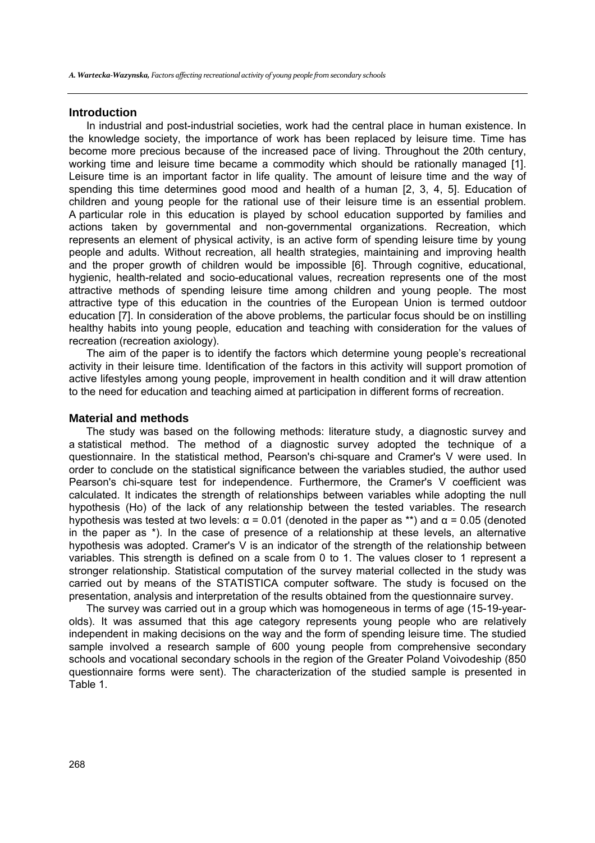#### **Introduction**

In industrial and post-industrial societies, work had the central place in human existence. In the knowledge society, the importance of work has been replaced by leisure time. Time has become more precious because of the increased pace of living. Throughout the 20th century, working time and leisure time became a commodity which should be rationally managed [1]. Leisure time is an important factor in life quality. The amount of leisure time and the way of spending this time determines good mood and health of a human [2, 3, 4, 5]. Education of children and young people for the rational use of their leisure time is an essential problem. A particular role in this education is played by school education supported by families and actions taken by governmental and non-governmental organizations. Recreation, which represents an element of physical activity, is an active form of spending leisure time by young people and adults. Without recreation, all health strategies, maintaining and improving health and the proper growth of children would be impossible [6]. Through cognitive, educational, hygienic, health-related and socio-educational values, recreation represents one of the most attractive methods of spending leisure time among children and young people. The most attractive type of this education in the countries of the European Union is termed outdoor education [7]. In consideration of the above problems, the particular focus should be on instilling healthy habits into young people, education and teaching with consideration for the values of recreation (recreation axiology).

The aim of the paper is to identify the factors which determine young people's recreational activity in their leisure time. Identification of the factors in this activity will support promotion of active lifestyles among young people, improvement in health condition and it will draw attention to the need for education and teaching aimed at participation in different forms of recreation.

#### **Material and methods**

The study was based on the following methods: literature study, a diagnostic survey and a statistical method. The method of a diagnostic survey adopted the technique of a questionnaire. In the statistical method, Pearson's chi-square and Cramer's V were used. In order to conclude on the statistical significance between the variables studied, the author used Pearson's chi-square test for independence. Furthermore, the Cramer's V coefficient was calculated. It indicates the strength of relationships between variables while adopting the null hypothesis (Ho) of the lack of any relationship between the tested variables. The research hypothesis was tested at two levels:  $\alpha$  = 0.01 (denoted in the paper as \*\*) and  $\alpha$  = 0.05 (denoted in the paper as \*). In the case of presence of a relationship at these levels, an alternative hypothesis was adopted. Cramer's V is an indicator of the strength of the relationship between variables. This strength is defined on a scale from 0 to 1. The values closer to 1 represent a stronger relationship. Statistical computation of the survey material collected in the study was carried out by means of the STATISTICA computer software. The study is focused on the presentation, analysis and interpretation of the results obtained from the questionnaire survey.

The survey was carried out in a group which was homogeneous in terms of age (15-19-yearolds). It was assumed that this age category represents young people who are relatively independent in making decisions on the way and the form of spending leisure time. The studied sample involved a research sample of 600 young people from comprehensive secondary schools and vocational secondary schools in the region of the Greater Poland Voivodeship (850 questionnaire forms were sent). The characterization of the studied sample is presented in Table 1.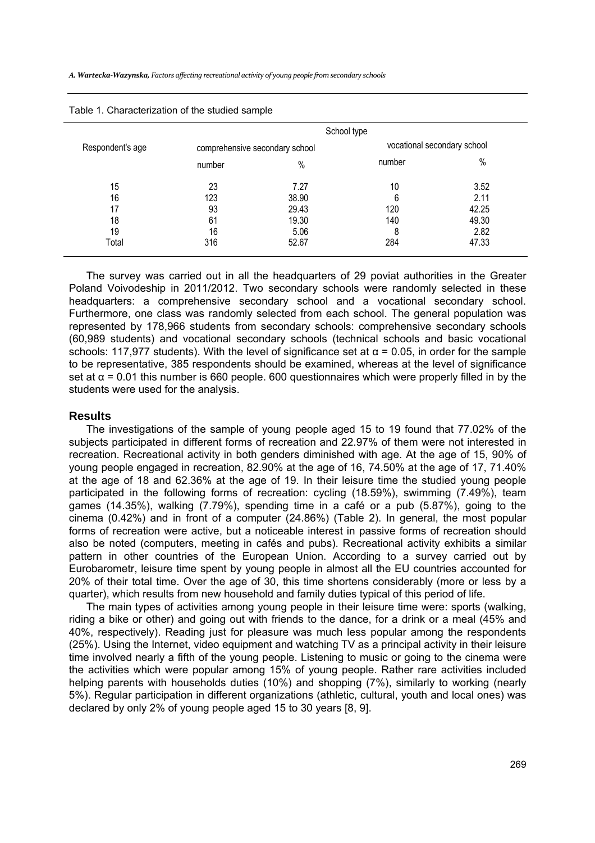| Table 1. Characterization of the studied sample |        |                                |                             |       |  |  |  |  |  |  |
|-------------------------------------------------|--------|--------------------------------|-----------------------------|-------|--|--|--|--|--|--|
|                                                 |        |                                | School type                 |       |  |  |  |  |  |  |
| Respondent's age                                |        | comprehensive secondary school | vocational secondary school |       |  |  |  |  |  |  |
|                                                 | number | %                              | number                      | $\%$  |  |  |  |  |  |  |
| 15                                              | 23     | 7.27                           | 10                          | 3.52  |  |  |  |  |  |  |
| 16                                              | 123    | 38.90                          | 6                           | 2.11  |  |  |  |  |  |  |
| 17                                              | 93     | 29.43                          | 120                         | 42.25 |  |  |  |  |  |  |
| 18                                              | 61     | 19.30                          | 140                         | 49.30 |  |  |  |  |  |  |
| 19                                              | 16     | 5.06                           | 8                           | 2.82  |  |  |  |  |  |  |
| Total                                           | 316    | 52.67                          | 284                         | 47.33 |  |  |  |  |  |  |

| Table 1. Characterization of the studied sample |  |  |  |
|-------------------------------------------------|--|--|--|
|-------------------------------------------------|--|--|--|

The survey was carried out in all the headquarters of 29 poviat authorities in the Greater Poland Voivodeship in 2011/2012. Two secondary schools were randomly selected in these headquarters: a comprehensive secondary school and a vocational secondary school. Furthermore, one class was randomly selected from each school. The general population was represented by 178,966 students from secondary schools: comprehensive secondary schools (60,989 students) and vocational secondary schools (technical schools and basic vocational schools: 117,977 students). With the level of significance set at  $\alpha$  = 0.05, in order for the sample to be representative, 385 respondents should be examined, whereas at the level of significance set at  $\alpha$  = 0.01 this number is 660 people. 600 questionnaires which were properly filled in by the students were used for the analysis.

# **Results**

The investigations of the sample of young people aged 15 to 19 found that 77.02% of the subjects participated in different forms of recreation and 22.97% of them were not interested in recreation. Recreational activity in both genders diminished with age. At the age of 15, 90% of young people engaged in recreation, 82.90% at the age of 16, 74.50% at the age of 17, 71.40% at the age of 18 and 62.36% at the age of 19. In their leisure time the studied young people participated in the following forms of recreation: cycling (18.59%), swimming (7.49%), team games (14.35%), walking (7.79%), spending time in a café or a pub (5.87%), going to the cinema (0.42%) and in front of a computer (24.86%) (Table 2). In general, the most popular forms of recreation were active, but a noticeable interest in passive forms of recreation should also be noted (computers, meeting in cafés and pubs). Recreational activity exhibits a similar pattern in other countries of the European Union. According to a survey carried out by Eurobarometr, leisure time spent by young people in almost all the EU countries accounted for 20% of their total time. Over the age of 30, this time shortens considerably (more or less by a quarter), which results from new household and family duties typical of this period of life.

The main types of activities among young people in their leisure time were: sports (walking, riding a bike or other) and going out with friends to the dance, for a drink or a meal (45% and 40%, respectively). Reading just for pleasure was much less popular among the respondents (25%). Using the Internet, video equipment and watching TV as a principal activity in their leisure time involved nearly a fifth of the young people. Listening to music or going to the cinema were the activities which were popular among 15% of young people. Rather rare activities included helping parents with households duties (10%) and shopping (7%), similarly to working (nearly 5%). Regular participation in different organizations (athletic, cultural, youth and local ones) was declared by only 2% of young people aged 15 to 30 years [8, 9].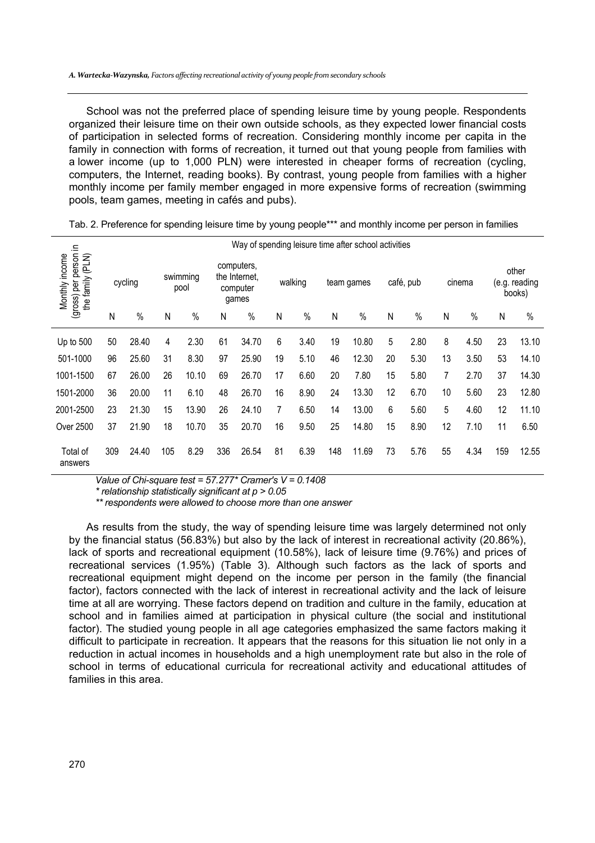School was not the preferred place of spending leisure time by young people. Respondents organized their leisure time on their own outside schools, as they expected lower financial costs of participation in selected forms of recreation. Considering monthly income per capita in the family in connection with forms of recreation, it turned out that young people from families with a lower income (up to 1,000 PLN) were interested in cheaper forms of recreation (cycling, computers, the Internet, reading books). By contrast, young people from families with a higher monthly income per family member engaged in more expensive forms of recreation (swimming pools, team games, meeting in cafés and pubs).

| ≘.                                                          | Way of spending leisure time after school activities |       |                  |       |                                                  |       |         |      |            |       |           |      |        |      |                                  |       |
|-------------------------------------------------------------|------------------------------------------------------|-------|------------------|-------|--------------------------------------------------|-------|---------|------|------------|-------|-----------|------|--------|------|----------------------------------|-------|
| (gross) per person<br>(PLN)<br>Monthly income<br>the family | cycling                                              |       | swimming<br>pool |       | computers,<br>the Internet.<br>computer<br>games |       | walking |      | team games |       | café, pub |      | cinema |      | other<br>(e.g. reading<br>books) |       |
|                                                             | Ν                                                    | $\%$  | Ν                | $\%$  | Ν                                                | $\%$  | Ν       | $\%$ | Ν          | $\%$  | Ν         | $\%$ | N      | $\%$ | Ν                                | $\%$  |
| Up to 500                                                   | 50                                                   | 28.40 | 4                | 2.30  | 61                                               | 34.70 | 6       | 3.40 | 19         | 10.80 | 5         | 2.80 | 8      | 4.50 | 23                               | 13.10 |
| 501-1000                                                    | 96                                                   | 25.60 | 31               | 8.30  | 97                                               | 25.90 | 19      | 5.10 | 46         | 12.30 | 20        | 5.30 | 13     | 3.50 | 53                               | 14.10 |
| 1001-1500                                                   | 67                                                   | 26.00 | 26               | 10.10 | 69                                               | 26.70 | 17      | 6.60 | 20         | 7.80  | 15        | 5.80 | 7      | 2.70 | 37                               | 14.30 |
| 1501-2000                                                   | 36                                                   | 20.00 | 11               | 6.10  | 48                                               | 26.70 | 16      | 8.90 | 24         | 13.30 | 12        | 6.70 | 10     | 5.60 | 23                               | 12.80 |
| 2001-2500                                                   | 23                                                   | 21.30 | 15               | 13.90 | 26                                               | 24.10 | 7       | 6.50 | 14         | 13.00 | 6         | 5.60 | 5      | 4.60 | 12                               | 11.10 |
| Over 2500                                                   | 37                                                   | 21.90 | 18               | 10.70 | 35                                               | 20.70 | 16      | 9.50 | 25         | 14.80 | 15        | 8.90 | 12     | 7.10 | 11                               | 6.50  |
| Total of<br>answers                                         | 309                                                  | 24.40 | 105              | 8.29  | 336                                              | 26.54 | 81      | 6.39 | 148        | 11.69 | 73        | 5.76 | 55     | 4.34 | 159                              | 12.55 |

Tab. 2. Preference for spending leisure time by young people\*\*\* and monthly income per person in families

*Value of Chi-square test = 57.277\* Cramer's V = 0.1408* 

*\* relationship statistically significant at p > 0.05* 

*\*\* respondents were allowed to choose more than one answer* 

As results from the study, the way of spending leisure time was largely determined not only by the financial status (56.83%) but also by the lack of interest in recreational activity (20.86%), lack of sports and recreational equipment (10.58%), lack of leisure time (9.76%) and prices of recreational services (1.95%) (Table 3). Although such factors as the lack of sports and recreational equipment might depend on the income per person in the family (the financial factor), factors connected with the lack of interest in recreational activity and the lack of leisure time at all are worrying. These factors depend on tradition and culture in the family, education at school and in families aimed at participation in physical culture (the social and institutional factor). The studied young people in all age categories emphasized the same factors making it difficult to participate in recreation. It appears that the reasons for this situation lie not only in a reduction in actual incomes in households and a high unemployment rate but also in the role of school in terms of educational curricula for recreational activity and educational attitudes of families in this area.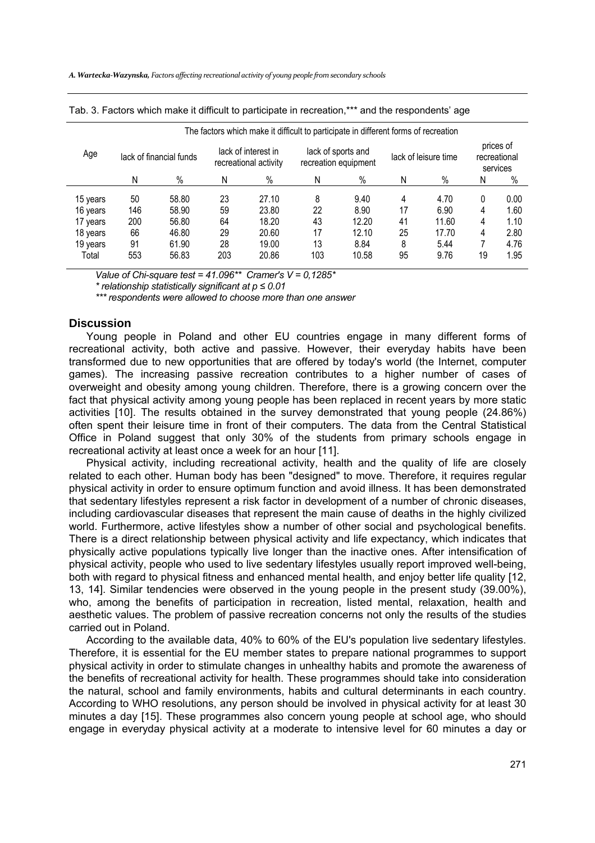|          | The factors which make it difficult to participate in different forms of recreation |                         |                                              |       |     |                                            |    |                      |                                       |      |  |  |
|----------|-------------------------------------------------------------------------------------|-------------------------|----------------------------------------------|-------|-----|--------------------------------------------|----|----------------------|---------------------------------------|------|--|--|
| Age      |                                                                                     | lack of financial funds | lack of interest in<br>recreational activity |       |     | lack of sports and<br>recreation equipment |    | lack of leisure time | prices of<br>recreational<br>services |      |  |  |
|          | N                                                                                   | $\%$                    | N                                            | $\%$  | N   | $\%$                                       | Ν  | $\%$                 | N                                     | $\%$ |  |  |
| 15 years | 50                                                                                  | 58.80                   | 23                                           | 27.10 | 8   | 9.40                                       | 4  | 4.70                 | 0                                     | 0.00 |  |  |
| 16 years | 146                                                                                 | 58.90                   | 59                                           | 23.80 | 22  | 8.90                                       | 17 | 6.90                 | 4                                     | 1.60 |  |  |
| 17 years | 200                                                                                 | 56.80                   | 64                                           | 18.20 | 43  | 12.20                                      | 41 | 11.60                | 4                                     | 1.10 |  |  |
| 18 years | 66                                                                                  | 46.80                   | 29                                           | 20.60 | 17  | 12.10                                      | 25 | 17.70                | 4                                     | 2.80 |  |  |
| 19 years | 91                                                                                  | 61.90                   | 28                                           | 19.00 | 13  | 8.84                                       | 8  | 5.44                 |                                       | 4.76 |  |  |
| Total    | 553                                                                                 | 56.83                   | 203                                          | 20.86 | 103 | 10.58                                      | 95 | 9.76                 | 19                                    | 1.95 |  |  |

|  |  |  |  |  | Tab. 3. Factors which make it difficult to participate in recreation,*** and the respondents' age |  |
|--|--|--|--|--|---------------------------------------------------------------------------------------------------|--|
|  |  |  |  |  |                                                                                                   |  |

*Value of Chi-square test = 41.096\*\* Cramer's V = 0,1285\** 

*\* relationship statistically significant at p ≤ 0.01* 

*\*\*\* respondents were allowed to choose more than one answer* 

#### **Discussion**

Young people in Poland and other EU countries engage in many different forms of recreational activity, both active and passive. However, their everyday habits have been transformed due to new opportunities that are offered by today's world (the Internet, computer games). The increasing passive recreation contributes to a higher number of cases of overweight and obesity among young children. Therefore, there is a growing concern over the fact that physical activity among young people has been replaced in recent years by more static activities [10]. The results obtained in the survey demonstrated that young people (24.86%) often spent their leisure time in front of their computers. The data from the Central Statistical Office in Poland suggest that only 30% of the students from primary schools engage in recreational activity at least once a week for an hour [11].

Physical activity, including recreational activity, health and the quality of life are closely related to each other. Human body has been "designed" to move. Therefore, it requires regular physical activity in order to ensure optimum function and avoid illness. It has been demonstrated that sedentary lifestyles represent a risk factor in development of a number of chronic diseases, including cardiovascular diseases that represent the main cause of deaths in the highly civilized world. Furthermore, active lifestyles show a number of other social and psychological benefits. There is a direct relationship between physical activity and life expectancy, which indicates that physically active populations typically live longer than the inactive ones. After intensification of physical activity, people who used to live sedentary lifestyles usually report improved well-being, both with regard to physical fitness and enhanced mental health, and enjoy better life quality [12, 13, 14]. Similar tendencies were observed in the young people in the present study (39.00%), who, among the benefits of participation in recreation, listed mental, relaxation, health and aesthetic values. The problem of passive recreation concerns not only the results of the studies carried out in Poland.

According to the available data, 40% to 60% of the EU's population live sedentary lifestyles. Therefore, it is essential for the EU member states to prepare national programmes to support physical activity in order to stimulate changes in unhealthy habits and promote the awareness of the benefits of recreational activity for health. These programmes should take into consideration the natural, school and family environments, habits and cultural determinants in each country. According to WHO resolutions, any person should be involved in physical activity for at least 30 minutes a day [15]. These programmes also concern young people at school age, who should engage in everyday physical activity at a moderate to intensive level for 60 minutes a day or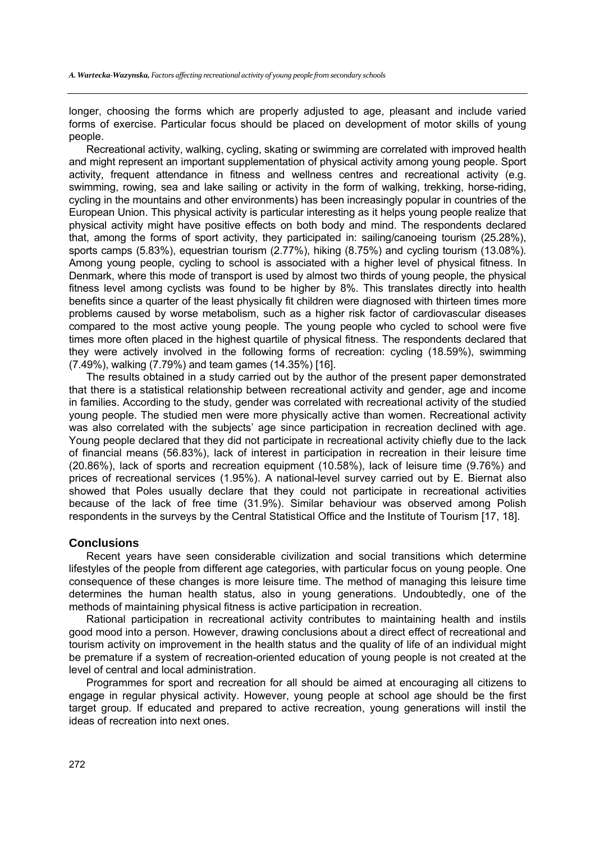longer, choosing the forms which are properly adjusted to age, pleasant and include varied forms of exercise. Particular focus should be placed on development of motor skills of young people.

Recreational activity, walking, cycling, skating or swimming are correlated with improved health and might represent an important supplementation of physical activity among young people. Sport activity, frequent attendance in fitness and wellness centres and recreational activity (e.g. swimming, rowing, sea and lake sailing or activity in the form of walking, trekking, horse-riding, cycling in the mountains and other environments) has been increasingly popular in countries of the European Union. This physical activity is particular interesting as it helps young people realize that physical activity might have positive effects on both body and mind. The respondents declared that, among the forms of sport activity, they participated in: sailing/canoeing tourism (25.28%), sports camps (5.83%), equestrian tourism (2.77%), hiking (8.75%) and cycling tourism (13.08%). Among young people, cycling to school is associated with a higher level of physical fitness. In Denmark, where this mode of transport is used by almost two thirds of young people, the physical fitness level among cyclists was found to be higher by 8%. This translates directly into health benefits since a quarter of the least physically fit children were diagnosed with thirteen times more problems caused by worse metabolism, such as a higher risk factor of cardiovascular diseases compared to the most active young people. The young people who cycled to school were five times more often placed in the highest quartile of physical fitness. The respondents declared that they were actively involved in the following forms of recreation: cycling (18.59%), swimming (7.49%), walking (7.79%) and team games (14.35%) [16].

The results obtained in a study carried out by the author of the present paper demonstrated that there is a statistical relationship between recreational activity and gender, age and income in families. According to the study, gender was correlated with recreational activity of the studied young people. The studied men were more physically active than women. Recreational activity was also correlated with the subjects' age since participation in recreation declined with age. Young people declared that they did not participate in recreational activity chiefly due to the lack of financial means (56.83%), lack of interest in participation in recreation in their leisure time (20.86%), lack of sports and recreation equipment (10.58%), lack of leisure time (9.76%) and prices of recreational services (1.95%). A national-level survey carried out by E. Biernat also showed that Poles usually declare that they could not participate in recreational activities because of the lack of free time (31.9%). Similar behaviour was observed among Polish respondents in the surveys by the Central Statistical Office and the Institute of Tourism [17, 18].

# **Conclusions**

Recent years have seen considerable civilization and social transitions which determine lifestyles of the people from different age categories, with particular focus on young people. One consequence of these changes is more leisure time. The method of managing this leisure time determines the human health status, also in young generations. Undoubtedly, one of the methods of maintaining physical fitness is active participation in recreation.

Rational participation in recreational activity contributes to maintaining health and instils good mood into a person. However, drawing conclusions about a direct effect of recreational and tourism activity on improvement in the health status and the quality of life of an individual might be premature if a system of recreation-oriented education of young people is not created at the level of central and local administration.

Programmes for sport and recreation for all should be aimed at encouraging all citizens to engage in regular physical activity. However, young people at school age should be the first target group. If educated and prepared to active recreation, young generations will instil the ideas of recreation into next ones.